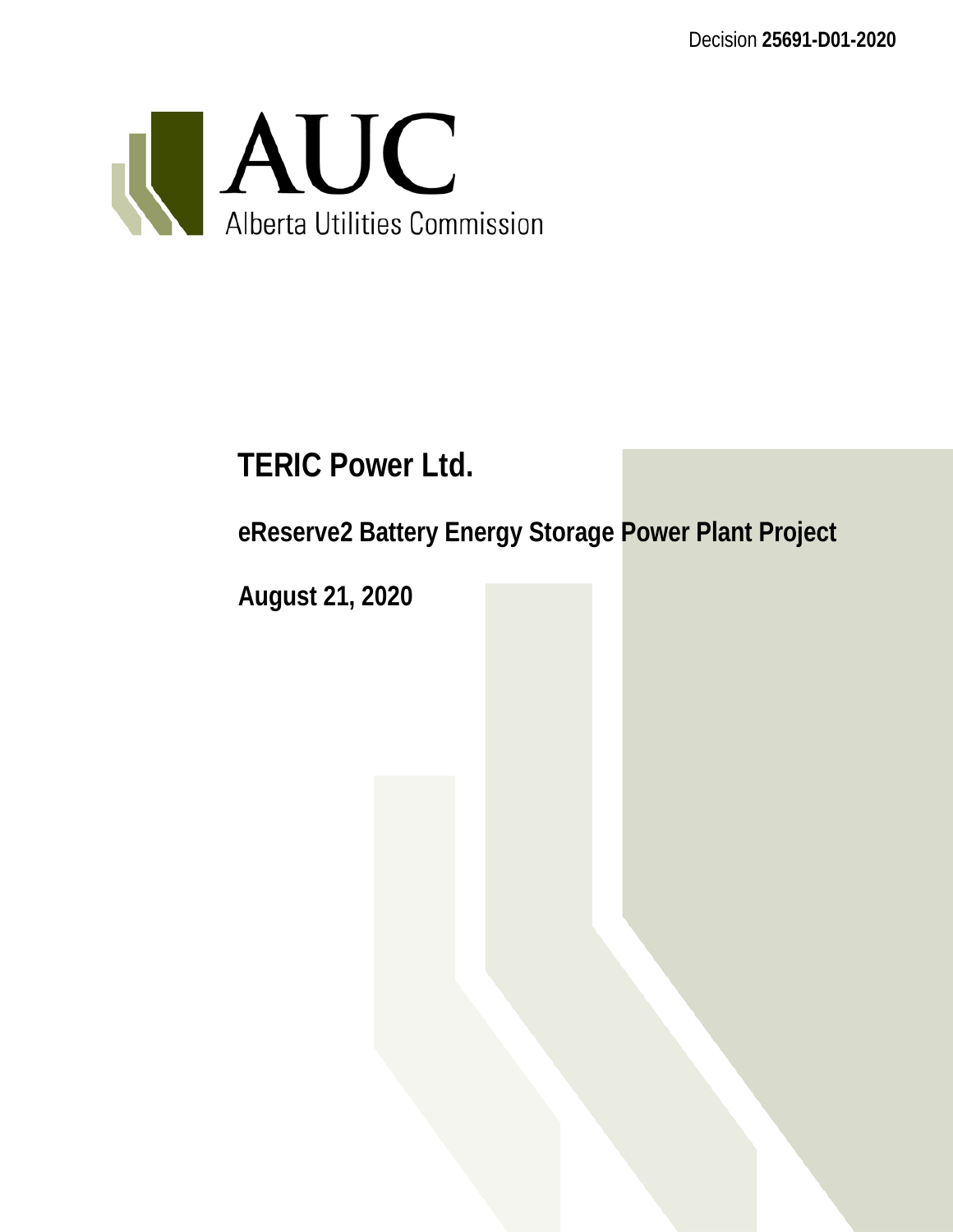Decision **25691-D01-2020**



# **TERIC Power Ltd.**

**eReserve2 Battery Energy Storage Power Plant Project**

**August 21, 2020**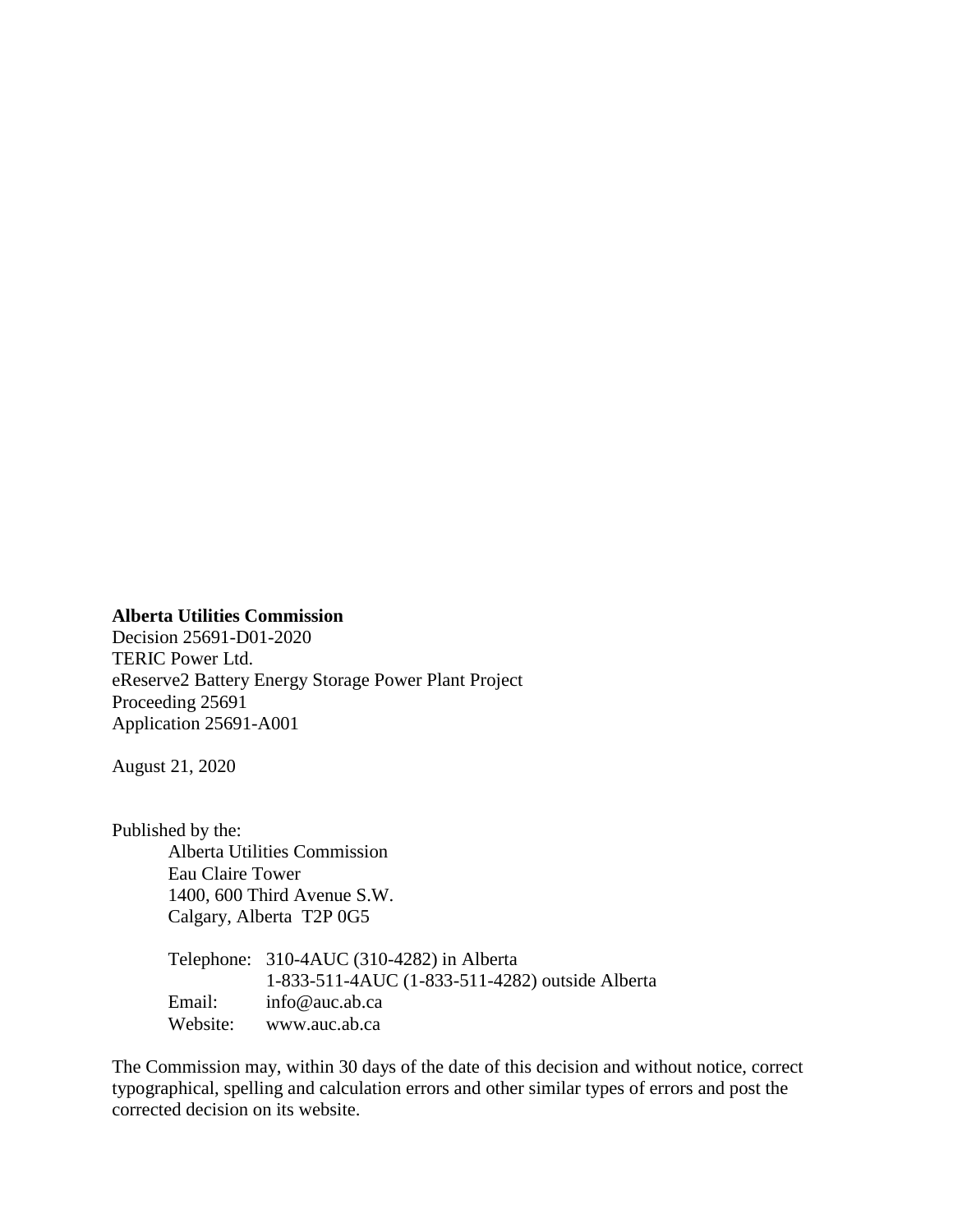#### **Alberta Utilities Commission**

Decision 25691-D01-2020 TERIC Power Ltd. eReserve2 Battery Energy Storage Power Plant Project Proceeding 25691 Application 25691-A001

August 21, 2020

Published by the: Alberta Utilities Commission Eau Claire Tower 1400, 600 Third Avenue S.W. Calgary, Alberta T2P 0G5

|          | Telephone: 310-4AUC (310-4282) in Alberta       |
|----------|-------------------------------------------------|
|          | 1-833-511-4AUC (1-833-511-4282) outside Alberta |
| Email:   | $info@$ auc.ab.ca                               |
| Website: | www.auc.ab.ca                                   |

The Commission may, within 30 days of the date of this decision and without notice, correct typographical, spelling and calculation errors and other similar types of errors and post the corrected decision on its website.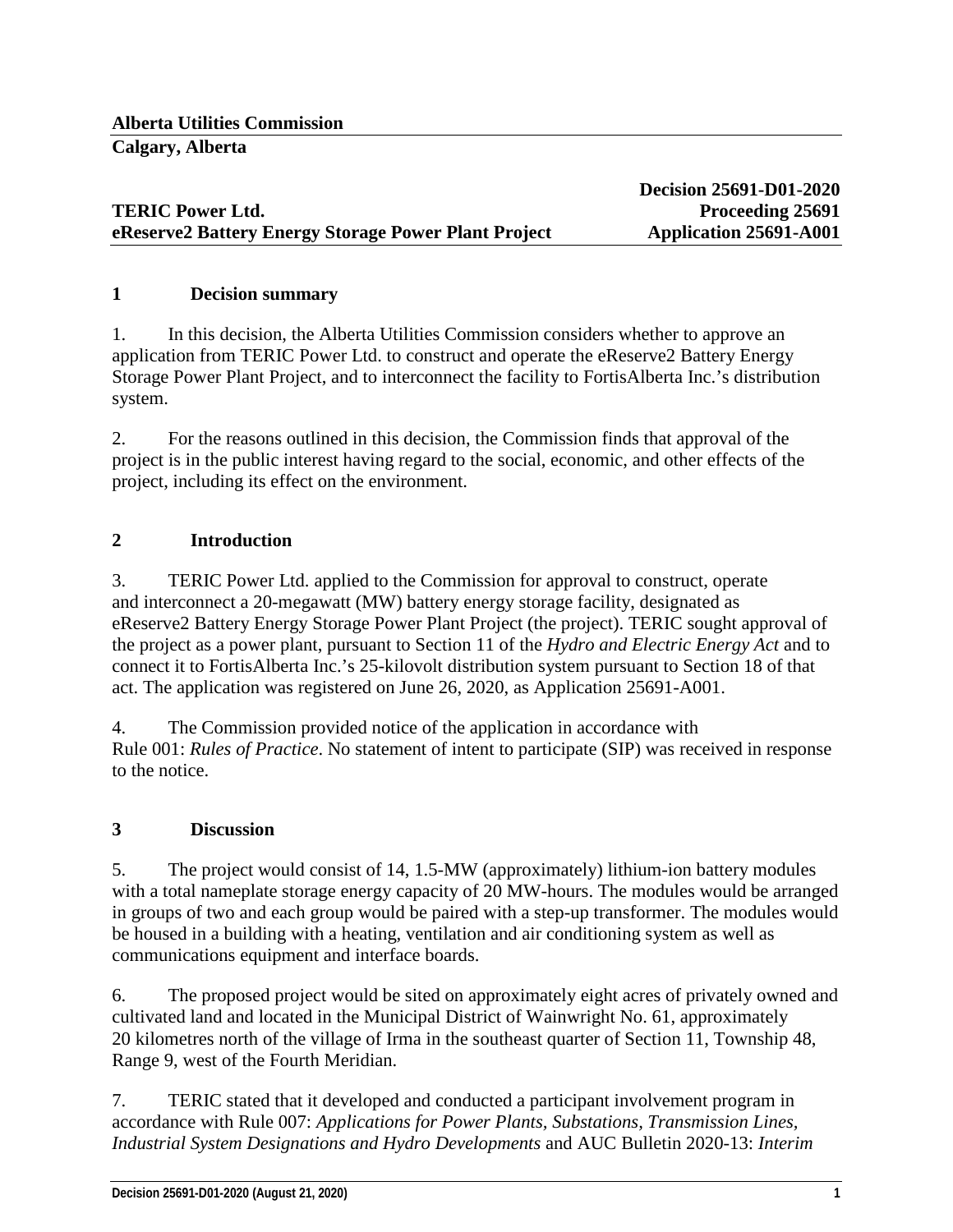## **TERIC Power Ltd. Proceeding 25691 eReserve2** Battery Energy Storage Power Plant Project Application 25691-A001

**Decision 25691-D01-2020**

#### **1 Decision summary**

1. In this decision, the Alberta Utilities Commission considers whether to approve an application from TERIC Power Ltd. to construct and operate the eReserve2 Battery Energy Storage Power Plant Project, and to interconnect the facility to FortisAlberta Inc.'s distribution system.

2. For the reasons outlined in this decision, the Commission finds that approval of the project is in the public interest having regard to the social, economic, and other effects of the project, including its effect on the environment.

### **2 Introduction**

3. TERIC Power Ltd. applied to the Commission for approval to construct, operate and interconnect a 20-megawatt (MW) battery energy storage facility, designated as eReserve2 Battery Energy Storage Power Plant Project (the project). TERIC sought approval of the project as a power plant, pursuant to Section 11 of the *Hydro and Electric Energy Act* and to connect it to FortisAlberta Inc.'s 25-kilovolt distribution system pursuant to Section 18 of that act. The application was registered on June 26, 2020, as Application 25691-A001.

4. The Commission provided notice of the application in accordance with Rule 001: *Rules of Practice*. No statement of intent to participate (SIP) was received in response to the notice.

#### **3 Discussion**

5. The project would consist of 14, 1.5-MW (approximately) lithium-ion battery modules with a total nameplate storage energy capacity of 20 MW-hours. The modules would be arranged in groups of two and each group would be paired with a step-up transformer. The modules would be housed in a building with a heating, ventilation and air conditioning system as well as communications equipment and interface boards.

6. The proposed project would be sited on approximately eight acres of privately owned and cultivated land and located in the Municipal District of Wainwright No. 61, approximately 20 kilometres north of the village of Irma in the southeast quarter of Section 11, Township 48, Range 9, west of the Fourth Meridian.

7. TERIC stated that it developed and conducted a participant involvement program in accordance with Rule 007: *Applications for Power Plants, Substations, Transmission Lines, Industrial System Designations and Hydro Developments* and AUC Bulletin 2020-13: *Interim*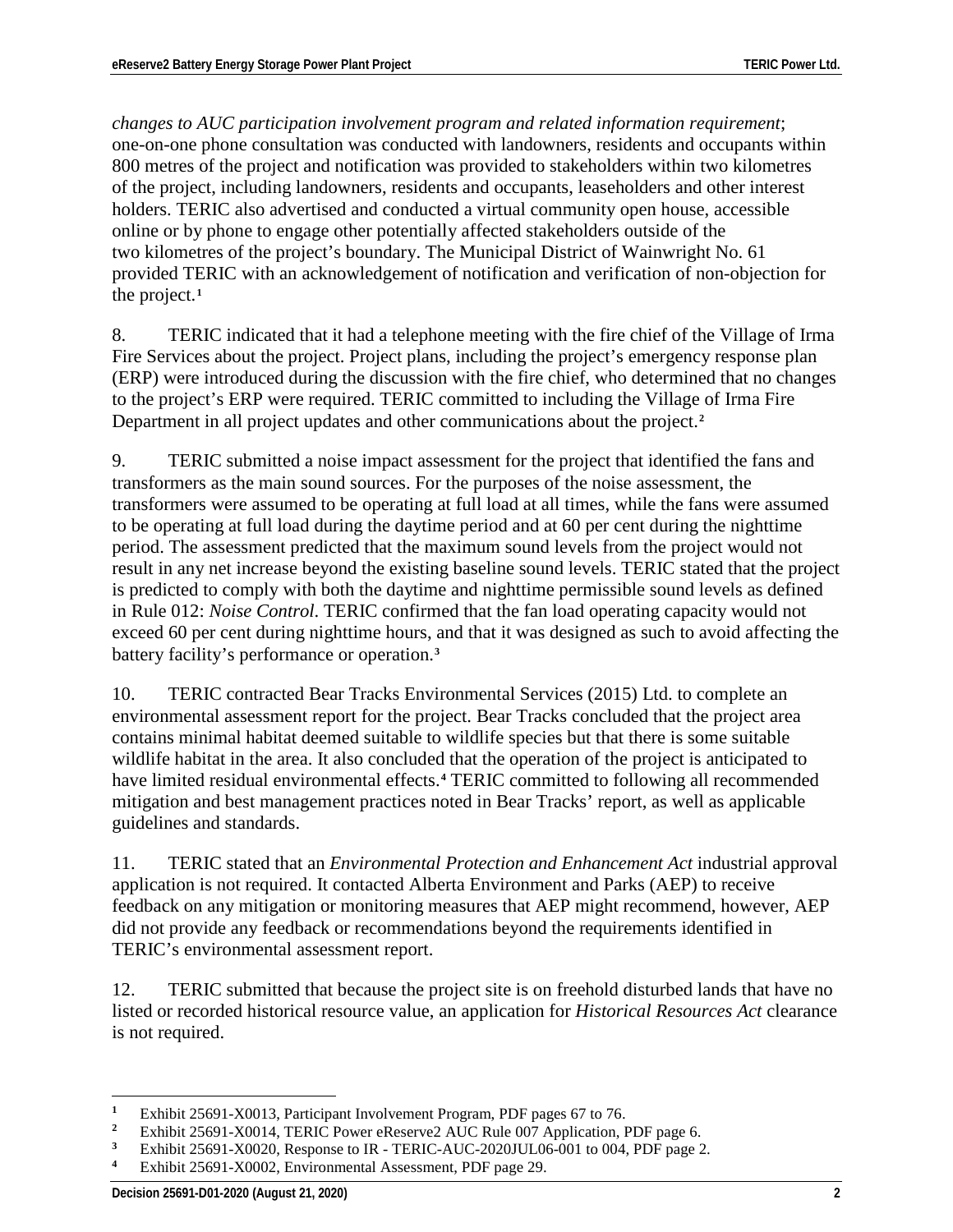*changes to AUC participation involvement program and related information requirement*; one-on-one phone consultation was conducted with landowners, residents and occupants within 800 metres of the project and notification was provided to stakeholders within two kilometres of the project, including landowners, residents and occupants, leaseholders and other interest holders. TERIC also advertised and conducted a virtual community open house, accessible online or by phone to engage other potentially affected stakeholders outside of the two kilometres of the project's boundary. The Municipal District of Wainwright No. 61 provided TERIC with an acknowledgement of notification and verification of non-objection for the project.**[1](#page-3-0)**

8. TERIC indicated that it had a telephone meeting with the fire chief of the Village of Irma Fire Services about the project. Project plans, including the project's emergency response plan (ERP) were introduced during the discussion with the fire chief, who determined that no changes to the project's ERP were required. TERIC committed to including the Village of Irma Fire Department in all project updates and other communications about the project.**[2](#page-3-1)**

9. TERIC submitted a noise impact assessment for the project that identified the fans and transformers as the main sound sources. For the purposes of the noise assessment, the transformers were assumed to be operating at full load at all times, while the fans were assumed to be operating at full load during the daytime period and at 60 per cent during the nighttime period. The assessment predicted that the maximum sound levels from the project would not result in any net increase beyond the existing baseline sound levels. TERIC stated that the project is predicted to comply with both the daytime and nighttime permissible sound levels as defined in Rule 012: *Noise Control*. TERIC confirmed that the fan load operating capacity would not exceed 60 per cent during nighttime hours, and that it was designed as such to avoid affecting the battery facility's performance or operation.**[3](#page-3-2)**

10. TERIC contracted Bear Tracks Environmental Services (2015) Ltd. to complete an environmental assessment report for the project. Bear Tracks concluded that the project area contains minimal habitat deemed suitable to wildlife species but that there is some suitable wildlife habitat in the area. It also concluded that the operation of the project is anticipated to have limited residual environmental effects.**[4](#page-3-3)** TERIC committed to following all recommended mitigation and best management practices noted in Bear Tracks' report, as well as applicable guidelines and standards.

11. TERIC stated that an *Environmental Protection and Enhancement Act* industrial approval application is not required. It contacted Alberta Environment and Parks (AEP) to receive feedback on any mitigation or monitoring measures that AEP might recommend, however, AEP did not provide any feedback or recommendations beyond the requirements identified in TERIC's environmental assessment report.

12. TERIC submitted that because the project site is on freehold disturbed lands that have no listed or recorded historical resource value, an application for *Historical Resources Act* clearance is not required.

<span id="page-3-0"></span> $\overline{a}$ <sup>1</sup> Exhibit 25691-X0013, Participant Involvement Program, PDF pages 67 to 76.<br><sup>2</sup> Exhibit 25601 Y0014, TEBIC Power eBosonic2, ALIC Bulo 007 Application I.

<span id="page-3-1"></span><sup>&</sup>lt;sup>2</sup> Exhibit 25691-X0014, TERIC Power eReserve2 AUC Rule 007 Application, PDF page 6.<br><sup>3</sup> Exhibit 25601 Y0020, Begrenze to ID, TERIC AUC 2020UJU 06,001 to 004, PDF page 2

<span id="page-3-2"></span><sup>&</sup>lt;sup>3</sup> Exhibit 25691-X0020, Response to IR - TERIC-AUC-2020JUL06-001 to 004, PDF page 2.<br>4 Exhibit 25601 X0002 Environmental Assessment PDF page 20

<span id="page-3-3"></span>**<sup>4</sup>** Exhibit 25691-X0002, Environmental Assessment, PDF page 29.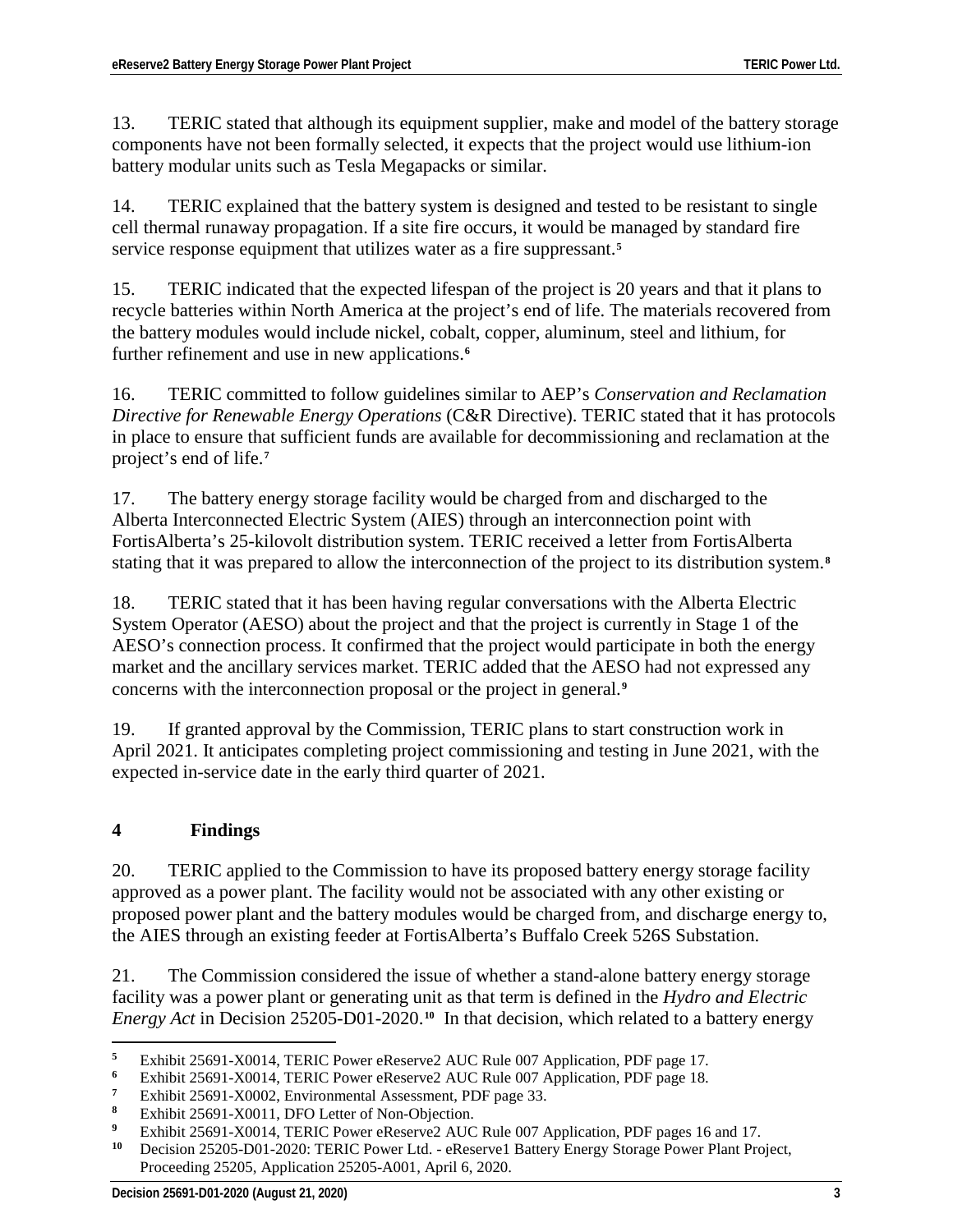13. TERIC stated that although its equipment supplier, make and model of the battery storage components have not been formally selected, it expects that the project would use lithium-ion battery modular units such as Tesla Megapacks or similar.

14. TERIC explained that the battery system is designed and tested to be resistant to single cell thermal runaway propagation. If a site fire occurs, it would be managed by standard fire service response equipment that utilizes water as a fire suppressant.**[5](#page-4-0)**

15. TERIC indicated that the expected lifespan of the project is 20 years and that it plans to recycle batteries within North America at the project's end of life. The materials recovered from the battery modules would include nickel, cobalt, copper, aluminum, steel and lithium, for further refinement and use in new applications.**[6](#page-4-1)**

16. TERIC committed to follow guidelines similar to AEP's *Conservation and Reclamation Directive for Renewable Energy Operations* (C&R Directive). TERIC stated that it has protocols in place to ensure that sufficient funds are available for decommissioning and reclamation at the project's end of life.**[7](#page-4-2)**

17. The battery energy storage facility would be charged from and discharged to the Alberta Interconnected Electric System (AIES) through an interconnection point with FortisAlberta's 25-kilovolt distribution system. TERIC received a letter from FortisAlberta stating that it was prepared to allow the interconnection of the project to its distribution system.**[8](#page-4-3)**

18. TERIC stated that it has been having regular conversations with the Alberta Electric System Operator (AESO) about the project and that the project is currently in Stage 1 of the AESO's connection process. It confirmed that the project would participate in both the energy market and the ancillary services market. TERIC added that the AESO had not expressed any concerns with the interconnection proposal or the project in general.**[9](#page-4-4)**

19. If granted approval by the Commission, TERIC plans to start construction work in April 2021. It anticipates completing project commissioning and testing in June 2021, with the expected in-service date in the early third quarter of 2021.

# **4 Findings**

20. TERIC applied to the Commission to have its proposed battery energy storage facility approved as a power plant. The facility would not be associated with any other existing or proposed power plant and the battery modules would be charged from, and discharge energy to, the AIES through an existing feeder at FortisAlberta's Buffalo Creek 526S Substation.

21. The Commission considered the issue of whether a stand-alone battery energy storage facility was a power plant or generating unit as that term is defined in the *Hydro and Electric Energy Act* in Decision 25205-D01-2020.**[10](#page-4-5)** In that decision, which related to a battery energy

<span id="page-4-1"></span><span id="page-4-0"></span> $\overline{5}$ **<sup>5</sup>** Exhibit 25691-X0014, TERIC Power eReserve2 AUC Rule 007 Application, PDF page 17.

**<sup>6</sup>** Exhibit 25691-X0014, TERIC Power eReserve2 AUC Rule 007 Application, PDF page 18.

<span id="page-4-2"></span>**<sup>7</sup>** Exhibit 25691-X0002, Environmental Assessment, PDF page 33.

<span id="page-4-3"></span>**<sup>8</sup>** Exhibit 25691-X0011, DFO Letter of Non-Objection.

<span id="page-4-5"></span><span id="page-4-4"></span>**<sup>9</sup>** Exhibit 25691-X0014, TERIC Power eReserve2 AUC Rule 007 Application, PDF pages 16 and 17.

**<sup>10</sup>** Decision 25205-D01-2020: TERIC Power Ltd. - eReserve1 Battery Energy Storage Power Plant Project, Proceeding 25205, Application 25205-A001, April 6, 2020.